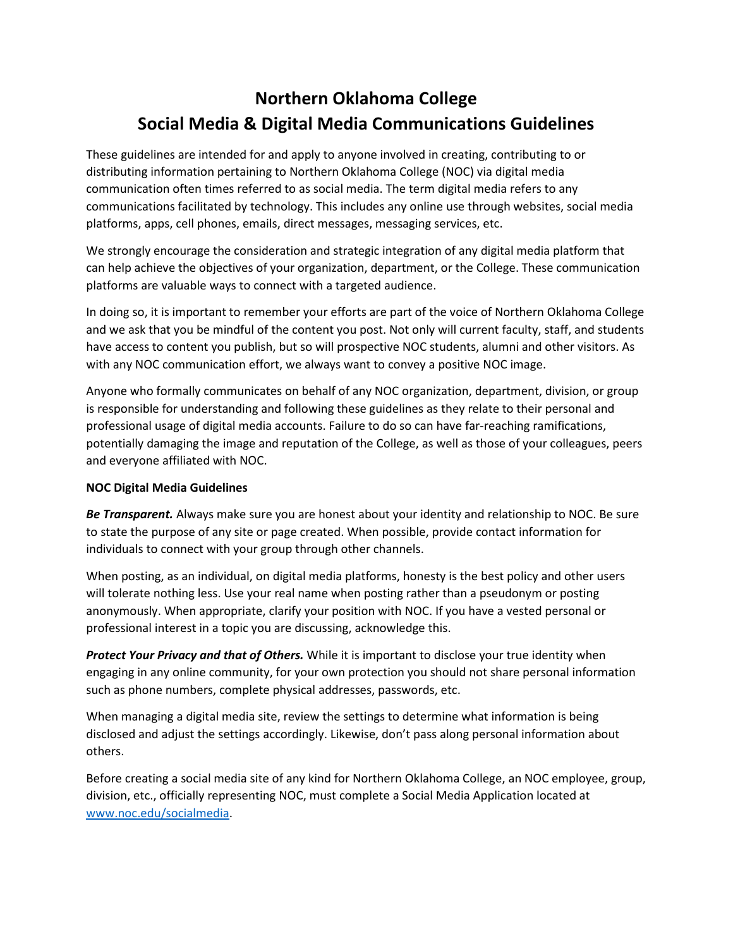# **Northern Oklahoma College Social Media & Digital Media Communications Guidelines**

These guidelines are intended for and apply to anyone involved in creating, contributing to or distributing information pertaining to Northern Oklahoma College (NOC) via digital media communication often times referred to as social media. The term digital media refers to any communications facilitated by technology. This includes any online use through websites, social media platforms, apps, cell phones, emails, direct messages, messaging services, etc.

We strongly encourage the consideration and strategic integration of any digital media platform that can help achieve the objectives of your organization, department, or the College. These communication platforms are valuable ways to connect with a targeted audience.

In doing so, it is important to remember your efforts are part of the voice of Northern Oklahoma College and we ask that you be mindful of the content you post. Not only will current faculty, staff, and students have access to content you publish, but so will prospective NOC students, alumni and other visitors. As with any NOC communication effort, we always want to convey a positive NOC image.

Anyone who formally communicates on behalf of any NOC organization, department, division, or group is responsible for understanding and following these guidelines as they relate to their personal and professional usage of digital media accounts. Failure to do so can have far-reaching ramifications, potentially damaging the image and reputation of the College, as well as those of your colleagues, peers and everyone affiliated with NOC.

## **NOC Digital Media Guidelines**

*Be Transparent.* Always make sure you are honest about your identity and relationship to NOC. Be sure to state the purpose of any site or page created. When possible, provide contact information for individuals to connect with your group through other channels.

When posting, as an individual, on digital media platforms, honesty is the best policy and other users will tolerate nothing less. Use your real name when posting rather than a pseudonym or posting anonymously. When appropriate, clarify your position with NOC. If you have a vested personal or professional interest in a topic you are discussing, acknowledge this.

*Protect Your Privacy and that of Others.* While it is important to disclose your true identity when engaging in any online community, for your own protection you should not share personal information such as phone numbers, complete physical addresses, passwords, etc.

When managing a digital media site, review the settings to determine what information is being disclosed and adjust the settings accordingly. Likewise, don't pass along personal information about others.

Before creating a social media site of any kind for Northern Oklahoma College, an NOC employee, group, division, etc., officially representing NOC, must complete a Social Media Application located at [www.noc.edu/socialmedia.](http://www.noc.edu/socialmedia)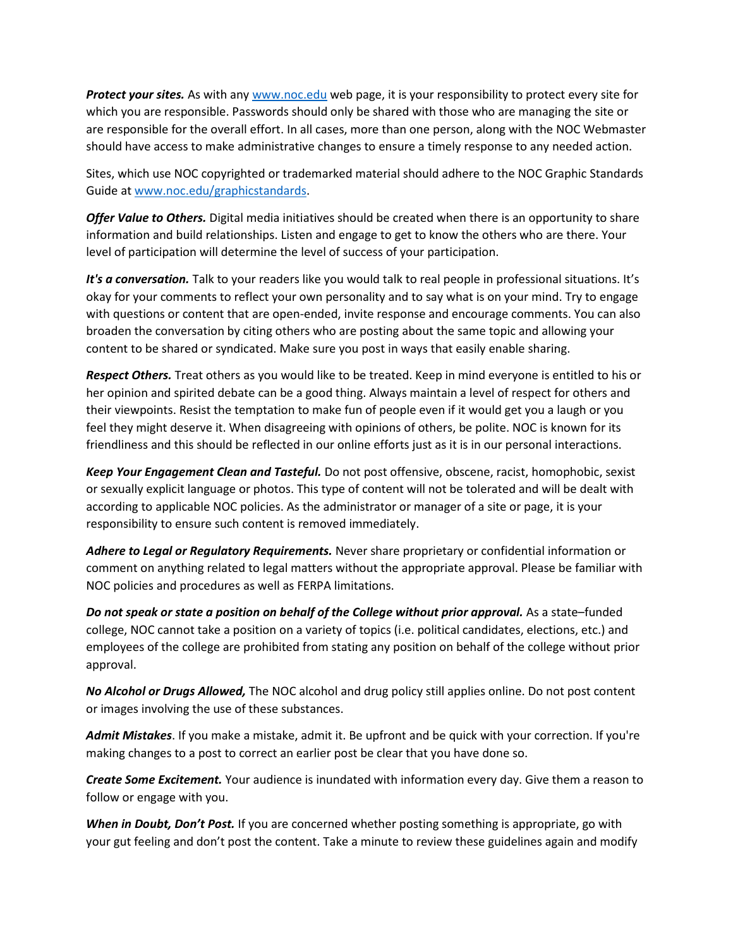*Protect your sites.* As with any www.noc.edu web page, it is your responsibility to protect every site for which you are responsible. Passwords should only be shared with those who are managing the site or are responsible for the overall effort. In all cases, more than one person, along with the NOC Webmaster should have access to make administrative changes to ensure a timely response to any needed action.

Sites, which use NOC copyrighted or trademarked material should adhere to the NOC Graphic Standards Guide at www.noc.edu/graphicstandards.

*Offer Value to Others.* Digital media initiatives should be created when there is an opportunity to share information and build relationships. Listen and engage to get to know the others who are there. Your level of participation will determine the level of success of your participation.

*It's a conversation.* Talk to your readers like you would talk to real people in professional situations. It's okay for your comments to reflect your own personality and to say what is on your mind. Try to engage with questions or content that are open-ended, invite response and encourage comments. You can also broaden the conversation by citing others who are posting about the same topic and allowing your content to be shared or syndicated. Make sure you post in ways that easily enable sharing.

*Respect Others.* Treat others as you would like to be treated. Keep in mind everyone is entitled to his or her opinion and spirited debate can be a good thing. Always maintain a level of respect for others and their viewpoints. Resist the temptation to make fun of people even if it would get you a laugh or you feel they might deserve it. When disagreeing with opinions of others, be polite. NOC is known for its friendliness and this should be reflected in our online efforts just as it is in our personal interactions.

*Keep Your Engagement Clean and Tasteful.* Do not post offensive, obscene, racist, homophobic, sexist or sexually explicit language or photos. This type of content will not be tolerated and will be dealt with according to applicable NOC policies. As the administrator or manager of a site or page, it is your responsibility to ensure such content is removed immediately.

*Adhere to Legal or Regulatory Requirements.* Never share proprietary or confidential information or comment on anything related to legal matters without the appropriate approval. Please be familiar with NOC policies and procedures as well as FERPA limitations.

*Do not speak or state a position on behalf of the College without prior approval.* As a state–funded college, NOC cannot take a position on a variety of topics (i.e. political candidates, elections, etc.) and employees of the college are prohibited from stating any position on behalf of the college without prior approval.

*No Alcohol or Drugs Allowed,* The NOC alcohol and drug policy still applies online. Do not post content or images involving the use of these substances.

*Admit Mistakes*. If you make a mistake, admit it. Be upfront and be quick with your correction. If you're making changes to a post to correct an earlier post be clear that you have done so.

*Create Some Excitement.* Your audience is inundated with information every day. Give them a reason to follow or engage with you.

*When in Doubt, Don't Post.* If you are concerned whether posting something is appropriate, go with your gut feeling and don't post the content. Take a minute to review these guidelines again and modify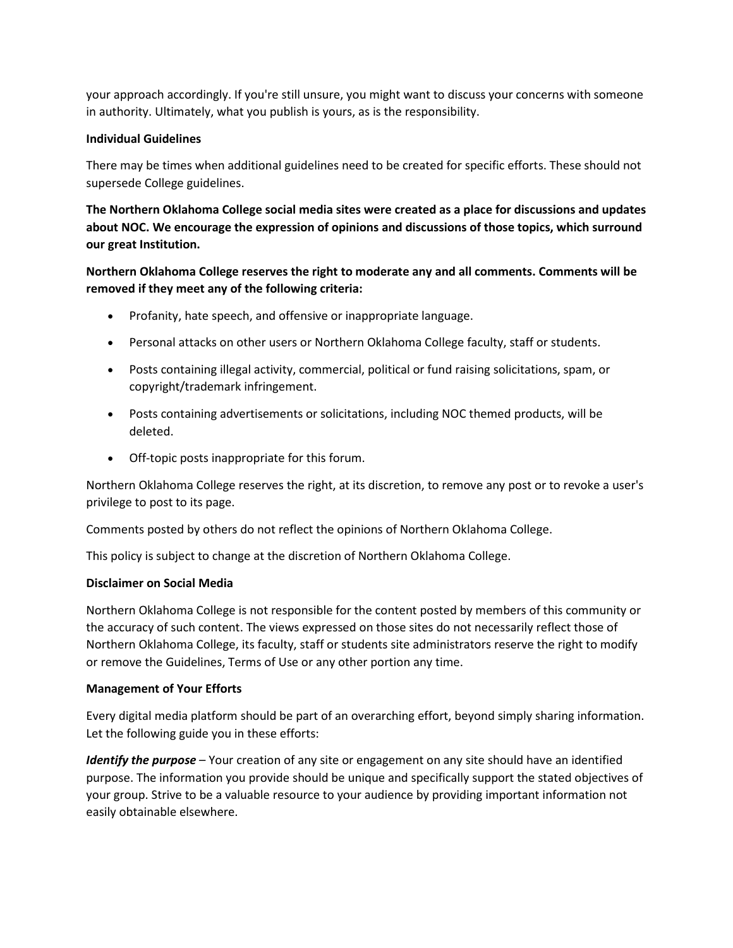your approach accordingly. If you're still unsure, you might want to discuss your concerns with someone in authority. Ultimately, what you publish is yours, as is the responsibility.

#### **Individual Guidelines**

There may be times when additional guidelines need to be created for specific efforts. These should not supersede College guidelines.

**The Northern Oklahoma College social media sites were created as a place for discussions and updates about NOC. We encourage the expression of opinions and discussions of those topics, which surround our great Institution.**

# **Northern Oklahoma College reserves the right to moderate any and all comments. Comments will be removed if they meet any of the following criteria:**

- Profanity, hate speech, and offensive or inappropriate language.
- Personal attacks on other users or Northern Oklahoma College faculty, staff or students.
- Posts containing illegal activity, commercial, political or fund raising solicitations, spam, or copyright/trademark infringement.
- Posts containing advertisements or solicitations, including NOC themed products, will be deleted.
- Off-topic posts inappropriate for this forum.

Northern Oklahoma College reserves the right, at its discretion, to remove any post or to revoke a user's privilege to post to its page.

Comments posted by others do not reflect the opinions of Northern Oklahoma College.

This policy is subject to change at the discretion of Northern Oklahoma College.

#### **Disclaimer on Social Media**

Northern Oklahoma College is not responsible for the content posted by members of this community or the accuracy of such content. The views expressed on those sites do not necessarily reflect those of Northern Oklahoma College, its faculty, staff or students site administrators reserve the right to modify or remove the Guidelines, Terms of Use or any other portion any time.

## **Management of Your Efforts**

Every digital media platform should be part of an overarching effort, beyond simply sharing information. Let the following guide you in these efforts:

*Identify the purpose* – Your creation of any site or engagement on any site should have an identified purpose. The information you provide should be unique and specifically support the stated objectives of your group. Strive to be a valuable resource to your audience by providing important information not easily obtainable elsewhere.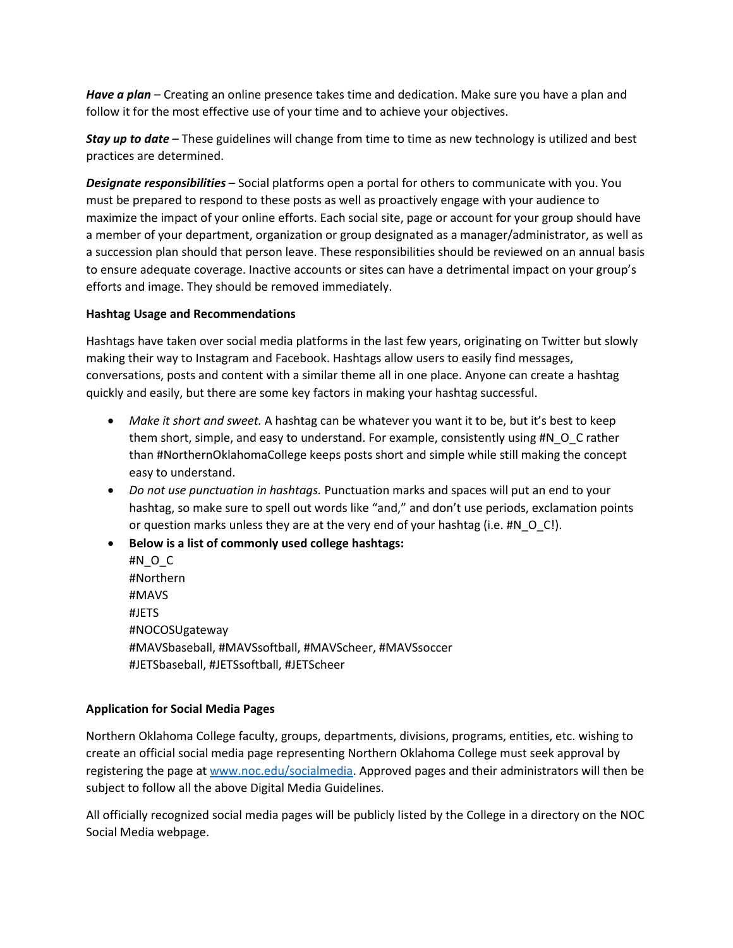*Have a plan* – Creating an online presence takes time and dedication. Make sure you have a plan and follow it for the most effective use of your time and to achieve your objectives.

*Stay up to date* – These guidelines will change from time to time as new technology is utilized and best practices are determined.

*Designate responsibilities* – Social platforms open a portal for others to communicate with you. You must be prepared to respond to these posts as well as proactively engage with your audience to maximize the impact of your online efforts. Each social site, page or account for your group should have a member of your department, organization or group designated as a manager/administrator, as well as a succession plan should that person leave. These responsibilities should be reviewed on an annual basis to ensure adequate coverage. Inactive accounts or sites can have a detrimental impact on your group's efforts and image. They should be removed immediately.

#### **Hashtag Usage and Recommendations**

Hashtags have taken over social media platforms in the last few years, originating on Twitter but slowly making their way to Instagram and Facebook. Hashtags allow users to easily find messages, conversations, posts and content with a similar theme all in one place. Anyone can create a hashtag quickly and easily, but there are some key factors in making your hashtag successful.

- *Make it short and sweet.* A hashtag can be whatever you want it to be, but it's best to keep them short, simple, and easy to understand. For example, consistently using #N\_O\_C rather than #NorthernOklahomaCollege keeps posts short and simple while still making the concept easy to understand.
- *Do not use punctuation in hashtags.* Punctuation marks and spaces will put an end to your hashtag, so make sure to spell out words like "and," and don't use periods, exclamation points or question marks unless they are at the very end of your hashtag (i.e. #N\_O\_C!).
- **Below is a list of commonly used college hashtags:** #N\_O\_C #Northern #MAVS #JETS #NOCOSUgateway #MAVSbaseball, #MAVSsoftball, #MAVScheer, #MAVSsoccer #JETSbaseball, #JETSsoftball, #JETScheer

## **Application for Social Media Pages**

Northern Oklahoma College faculty, groups, departments, divisions, programs, entities, etc. wishing to create an official social media page representing Northern Oklahoma College must seek approval by registering the page at [www.noc.edu/socialmedia.](http://www.noc.edu/socialmedia) Approved pages and their administrators will then be subject to follow all the above Digital Media Guidelines.

All officially recognized social media pages will be publicly listed by the College in a directory on the NOC Social Media webpage.